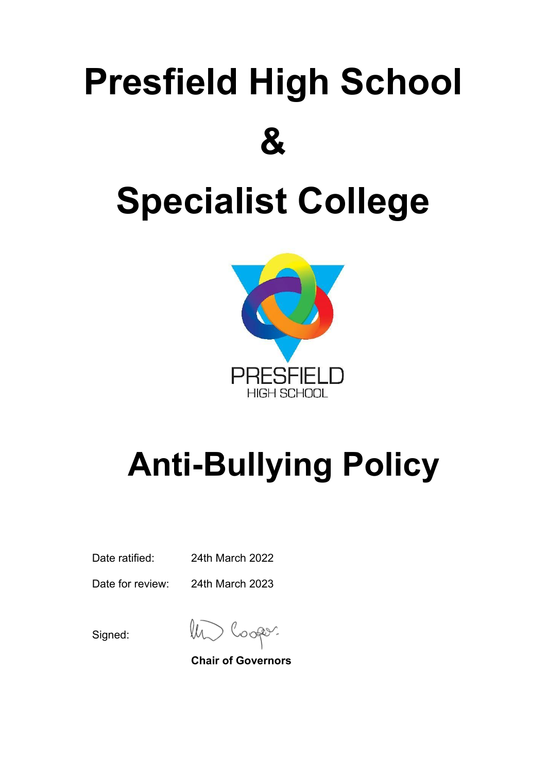# **Presfield High School & Specialist College**



# **Anti-Bullying Policy**

Date ratified: 24th March 2022

Date for review: 24th March 2023

Signed:

lh. ooper.

**Chair of Governors**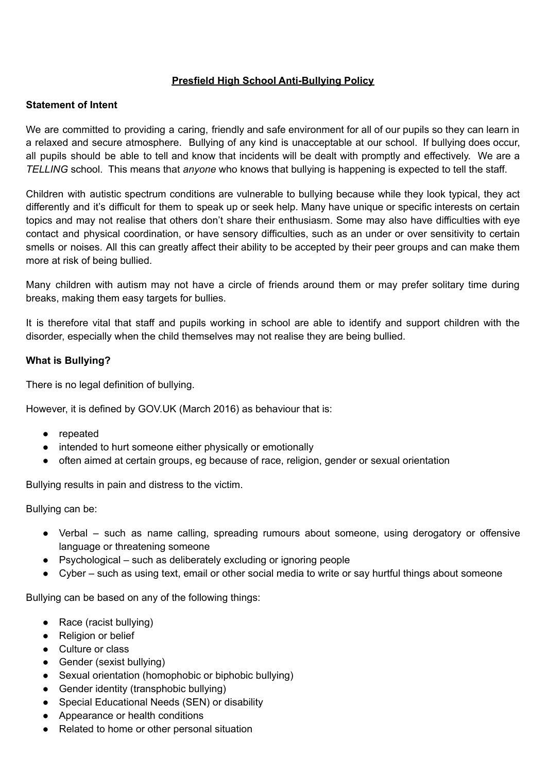### **Presfield High School Anti-Bullying Policy**

#### **Statement of Intent**

We are committed to providing a caring, friendly and safe environment for all of our pupils so they can learn in a relaxed and secure atmosphere. Bullying of any kind is unacceptable at our school. If bullying does occur, all pupils should be able to tell and know that incidents will be dealt with promptly and effectively. We are a *TELLING* school. This means that *anyone* who knows that bullying is happening is expected to tell the staff.

Children with autistic spectrum conditions are vulnerable to bullying because while they look typical, they act differently and it's difficult for them to speak up or seek help. Many have unique or specific interests on certain topics and may not realise that others don't share their enthusiasm. Some may also have difficulties with eye contact and physical coordination, or have sensory difficulties, such as an under or over sensitivity to certain smells or noises. All this can greatly affect their ability to be accepted by their peer groups and can make them more at risk of being bullied.

Many children with autism may not have a circle of friends around them or may prefer solitary time during breaks, making them easy targets for bullies.

It is therefore vital that staff and pupils working in school are able to identify and support children with the disorder, especially when the child themselves may not realise they are being bullied.

#### **What is Bullying?**

There is no legal definition of bullying.

However, it is defined by GOV.UK (March 2016) as behaviour that is:

- repeated
- intended to hurt someone either physically or emotionally
- often aimed at certain groups, eg because of race, religion, gender or sexual orientation

Bullying results in pain and distress to the victim.

Bullying can be:

- Verbal such as name calling, spreading rumours about someone, using derogatory or offensive language or threatening someone
- Psychological such as deliberately excluding or ignoring people
- Cyber such as using text, email or other social media to write or say hurtful things about someone

Bullying can be based on any of the following things:

- Race (racist bullying)
- Religion or belief
- Culture or class
- Gender (sexist bullying)
- Sexual orientation (homophobic or biphobic bullying)
- Gender identity (transphobic bullying)
- Special Educational Needs (SEN) or disability
- Appearance or health conditions
- Related to home or other personal situation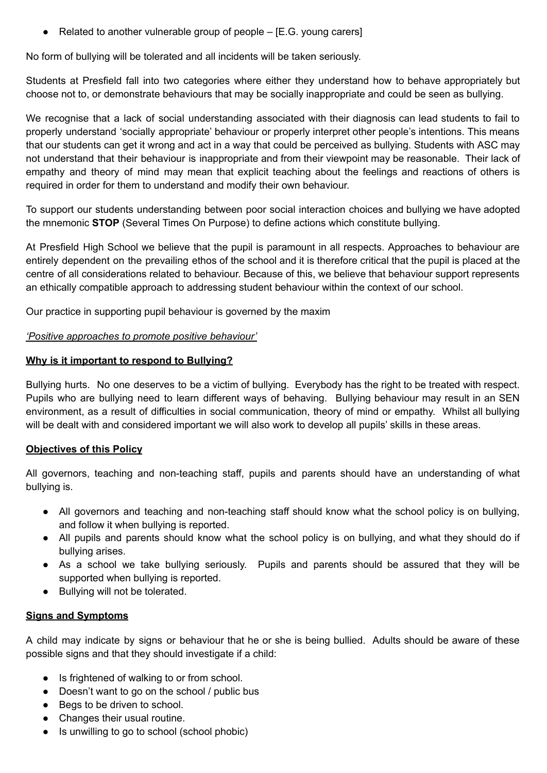• Related to another vulnerable group of people  $-$  [E.G. young carers]

No form of bullying will be tolerated and all incidents will be taken seriously.

Students at Presfield fall into two categories where either they understand how to behave appropriately but choose not to, or demonstrate behaviours that may be socially inappropriate and could be seen as bullying.

We recognise that a lack of social understanding associated with their diagnosis can lead students to fail to properly understand 'socially appropriate' behaviour or properly interpret other people's intentions. This means that our students can get it wrong and act in a way that could be perceived as bullying. Students with ASC may not understand that their behaviour is inappropriate and from their viewpoint may be reasonable. Their lack of empathy and theory of mind may mean that explicit teaching about the feelings and reactions of others is required in order for them to understand and modify their own behaviour.

To support our students understanding between poor social interaction choices and bullying we have adopted the mnemonic **STOP** (Several Times On Purpose) to define actions which constitute bullying.

At Presfield High School we believe that the pupil is paramount in all respects. Approaches to behaviour are entirely dependent on the prevailing ethos of the school and it is therefore critical that the pupil is placed at the centre of all considerations related to behaviour. Because of this, we believe that behaviour support represents an ethically compatible approach to addressing student behaviour within the context of our school.

Our practice in supporting pupil behaviour is governed by the maxim

#### *'Positive approaches to promote positive behaviour'*

#### **Why is it important to respond to Bullying?**

Bullying hurts. No one deserves to be a victim of bullying. Everybody has the right to be treated with respect. Pupils who are bullying need to learn different ways of behaving. Bullying behaviour may result in an SEN environment, as a result of difficulties in social communication, theory of mind or empathy. Whilst all bullying will be dealt with and considered important we will also work to develop all pupils' skills in these areas.

# **Objectives of this Policy**

All governors, teaching and non-teaching staff, pupils and parents should have an understanding of what bullying is.

- All governors and teaching and non-teaching staff should know what the school policy is on bullying, and follow it when bullying is reported.
- All pupils and parents should know what the school policy is on bullying, and what they should do if bullying arises.
- As a school we take bullying seriously. Pupils and parents should be assured that they will be supported when bullying is reported.
- Bullying will not be tolerated.

# **Signs and Symptoms**

A child may indicate by signs or behaviour that he or she is being bullied. Adults should be aware of these possible signs and that they should investigate if a child:

- Is frightened of walking to or from school.
- Doesn't want to go on the school / public bus
- Begs to be driven to school.
- Changes their usual routine.
- Is unwilling to go to school (school phobic)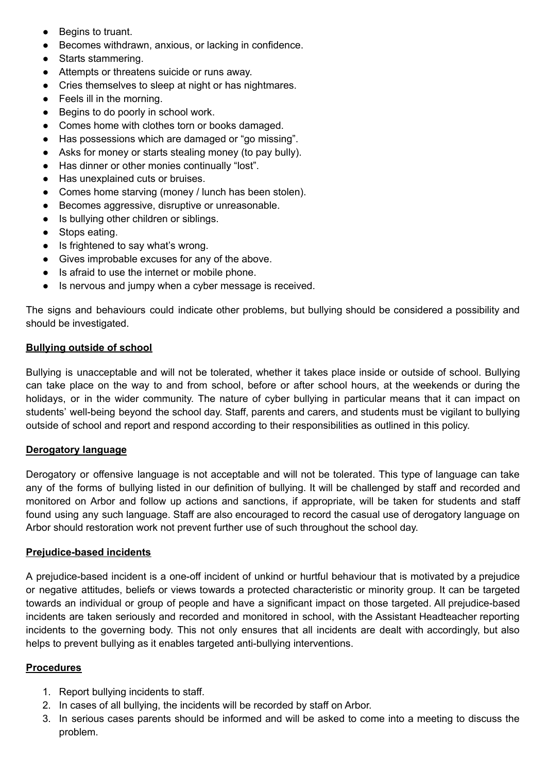- Begins to truant.
- Becomes withdrawn, anxious, or lacking in confidence.
- Starts stammering.
- Attempts or threatens suicide or runs away.
- Cries themselves to sleep at night or has nightmares.
- Feels ill in the morning.
- Begins to do poorly in school work.
- Comes home with clothes torn or books damaged.
- Has possessions which are damaged or "go missing".
- Asks for money or starts stealing money (to pay bully).
- Has dinner or other monies continually "lost".
- Has unexplained cuts or bruises.
- Comes home starving (money / lunch has been stolen).
- Becomes aggressive, disruptive or unreasonable.
- Is bullying other children or siblings.
- Stops eating.
- Is frightened to say what's wrong.
- Gives improbable excuses for any of the above.
- Is afraid to use the internet or mobile phone.
- Is nervous and jumpy when a cyber message is received.

The signs and behaviours could indicate other problems, but bullying should be considered a possibility and should be investigated.

#### **Bullying outside of school**

Bullying is unacceptable and will not be tolerated, whether it takes place inside or outside of school. Bullying can take place on the way to and from school, before or after school hours, at the weekends or during the holidays, or in the wider community. The nature of cyber bullying in particular means that it can impact on students' well-being beyond the school day. Staff, parents and carers, and students must be vigilant to bullying outside of school and report and respond according to their responsibilities as outlined in this policy.

#### **Derogatory language**

Derogatory or offensive language is not acceptable and will not be tolerated. This type of language can take any of the forms of bullying listed in our definition of bullying. It will be challenged by staff and recorded and monitored on Arbor and follow up actions and sanctions, if appropriate, will be taken for students and staff found using any such language. Staff are also encouraged to record the casual use of derogatory language on Arbor should restoration work not prevent further use of such throughout the school day.

#### **Prejudice-based incidents**

A prejudice-based incident is a one-off incident of unkind or hurtful behaviour that is motivated by a prejudice or negative attitudes, beliefs or views towards a protected characteristic or minority group. It can be targeted towards an individual or group of people and have a significant impact on those targeted. All prejudice-based incidents are taken seriously and recorded and monitored in school, with the Assistant Headteacher reporting incidents to the governing body. This not only ensures that all incidents are dealt with accordingly, but also helps to prevent bullying as it enables targeted anti-bullying interventions.

#### **Procedures**

- 1. Report bullying incidents to staff.
- 2. In cases of all bullying, the incidents will be recorded by staff on Arbor.
- 3. In serious cases parents should be informed and will be asked to come into a meeting to discuss the problem.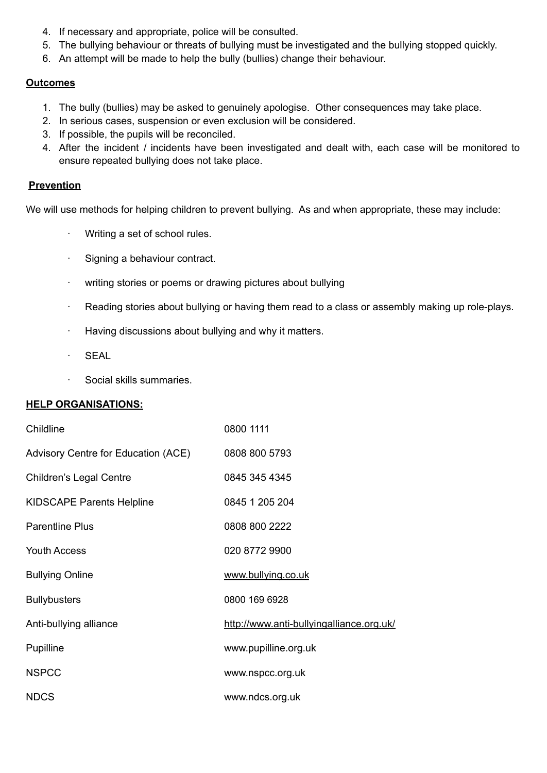- 4. If necessary and appropriate, police will be consulted.
- 5. The bullying behaviour or threats of bullying must be investigated and the bullying stopped quickly.
- 6. An attempt will be made to help the bully (bullies) change their behaviour.

# **Outcomes**

- 1. The bully (bullies) may be asked to genuinely apologise. Other consequences may take place.
- 2. In serious cases, suspension or even exclusion will be considered.
- 3. If possible, the pupils will be reconciled.
- 4. After the incident / incidents have been investigated and dealt with, each case will be monitored to ensure repeated bullying does not take place.

# **Prevention**

We will use methods for helping children to prevent bullying. As and when appropriate, these may include:

- · Writing a set of school rules.
- · Signing a behaviour contract.
- · writing stories or poems or drawing pictures about bullying
- · Reading stories about bullying or having them read to a class or assembly making up role-plays.
- · Having discussions about bullying and why it matters.
- · SEAL
- · Social skills summaries.

# **HELP ORGANISATIONS:**

| Childline                           | 0800 1111                                |
|-------------------------------------|------------------------------------------|
| Advisory Centre for Education (ACE) | 0808 800 5793                            |
| <b>Children's Legal Centre</b>      | 0845 345 4345                            |
| <b>KIDSCAPE Parents Helpline</b>    | 0845 1 205 204                           |
| <b>Parentline Plus</b>              | 0808 800 2222                            |
| <b>Youth Access</b>                 | 020 8772 9900                            |
| <b>Bullying Online</b>              | www.bullying.co.uk                       |
| <b>Bullybusters</b>                 | 0800 169 6928                            |
| Anti-bullying alliance              | http://www.anti-bullyingalliance.org.uk/ |
| Pupilline                           | www.pupilline.org.uk                     |
| <b>NSPCC</b>                        | www.nspcc.org.uk                         |
| <b>NDCS</b>                         | www.ndcs.org.uk                          |